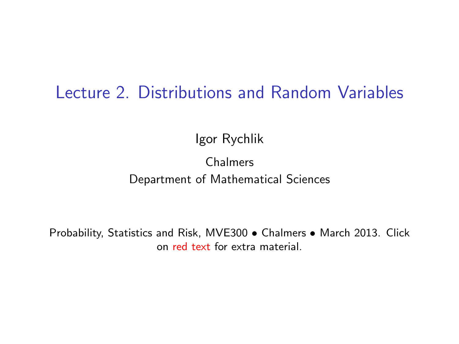#### Lecture 2. Distributions and Random Variables

Igor Rychlik

#### Chalmers Department of Mathematical Sciences

Probability, Statistics and Risk, MVE300 • Chalmers • March 2013. Click on [red text](http://www.math.chalmers.se/Stat/Grundutb/CTH/mve300/1213/) for extra material.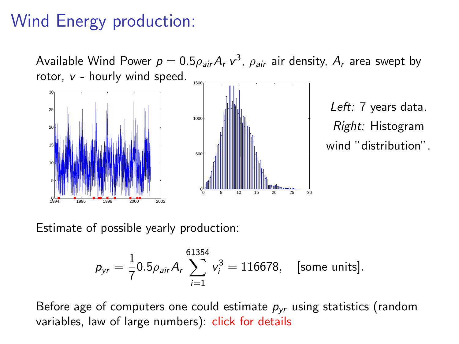# Wind Energy production:

Available Wind Power  $p=0.5\rho_{\textit{air}}A_r$  v<sup>3</sup>,  $\rho_{\textit{air}}$  air density,  $A_r$  area swept by rotor, v - hourly wind speed.



Left: 7 years data. Right: Histogram wind "distribution".

Estimate of possible yearly production:

$$
p_{yr} = \frac{1}{7} 0.5 \rho_{air} A_r \sum_{i=1}^{61354} v_i^3 = 116678, \text{ [some units]}.
$$

Before age of computers one could estimate  $p_{vr}$  using statistics (random variables, law of large numbers): click for details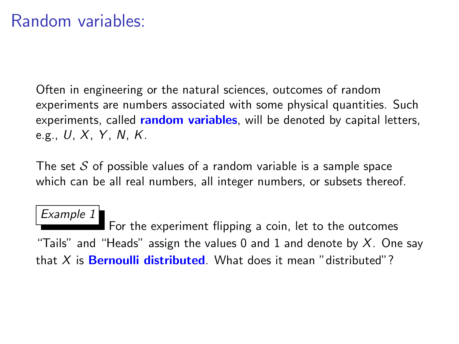Often in engineering or the natural sciences, outcomes of random experiments are numbers associated with some physical quantities. Such experiments, called random variables, will be denoted by capital letters, e.g.,  $U, X, Y, N, K$ .

The set  $S$  of possible values of a random variable is a sample space which can be all real numbers, all integer numbers, or subsets thereof.

Example 1 For the experiment flipping a coin, let to the outcomes "Tails" and "Heads" assign the values 0 and 1 and denote by  $X$ . One say that  $X$  is **Bernoulli distributed**. What does it mean "distributed"?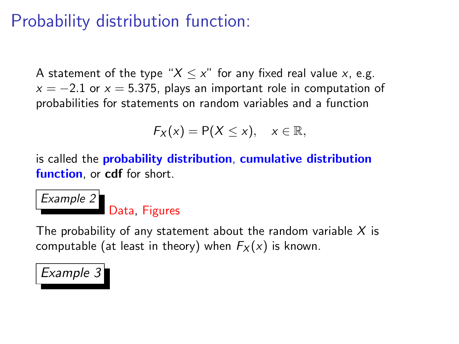## Probability distribution function:

A statement of the type " $X \leq x$ " for any fixed real value x, e.g.  $x = -2.1$  or  $x = 5.375$ , plays an important role in computation of probabilities for statements on random variables and a function

$$
F_X(x) = P(X \le x), \quad x \in \mathbb{R},
$$

is called the probability distribution, cumulative distribution function, or cdf for short.

#### Example 2 Data, Figures

The probability of any statement about the random variable  $X$  is computable (at least in theory) when  $F_X(x)$  is known.

#### Example 3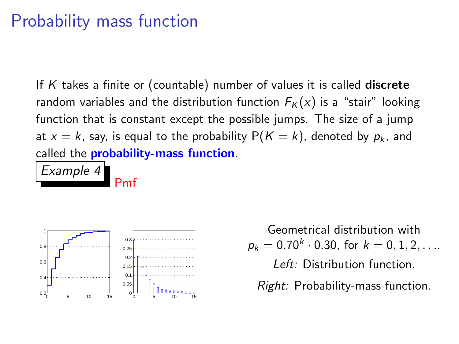## Probability mass function

If  $K$  takes a finite or (countable) number of values it is called **discrete** random variables and the distribution function  $F_K(x)$  is a "stair" looking function that is constant except the possible jumps. The size of a jump at  $x = k$ , say, is equal to the probability  $P(K = k)$ , denoted by  $p_k$ , and called the **probability-mass function**.

Example 4

Pmf



Geometrical distribution with  $p_k = 0.70^k \cdot 0.30$ , for  $k = 0, 1, 2, \ldots$ Left: Distribution function. Right: Probability-mass function.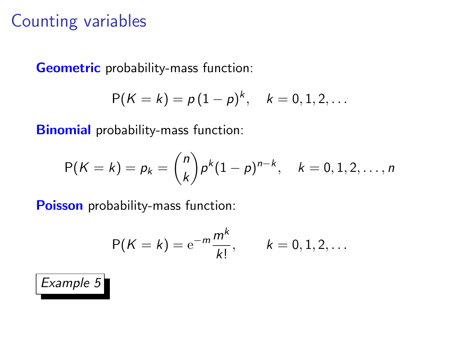## Counting variables

Geometric probability-mass function:

$$
P(K = k) = p(1-p)^k, \quad k = 0, 1, 2, ...
$$

Binomial probability-mass function:

$$
P(K = k) = p_k = {n \choose k} p^k (1-p)^{n-k}, \quad k = 0, 1, 2, ..., n
$$

Poisson probability-mass function:

$$
P(K = k) = e^{-m} \frac{m^k}{k!}, \qquad k = 0, 1, 2, ...
$$

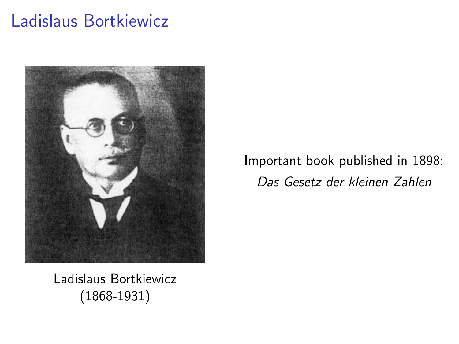## Ladislaus Bortkiewicz



Important book published in 1898: Das Gesetz der kleinen Zahlen

Ladislaus Bortkiewicz (1868-1931)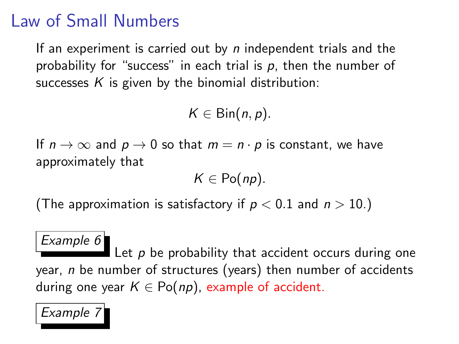## Law of Small Numbers

If an experiment is carried out by  $n$  independent trials and the probability for "success" in each trial is  $p$ , then the number of successes  $K$  is given by the binomial distribution:

 $K \in \text{Bin}(n, p)$ .

If  $n \to \infty$  and  $p \to 0$  so that  $m = n \cdot p$  is constant, we have approximately that

 $K \in Po(np)$ .

(The approximation is satisfactory if  $p < 0.1$  and  $n > 10$ .)

#### Example 6

Let  $p$  be probability that accident occurs during one year, n be number of structures (years) then number of accidents during one year  $K \in Po(np)$ , example of accident.

Example 7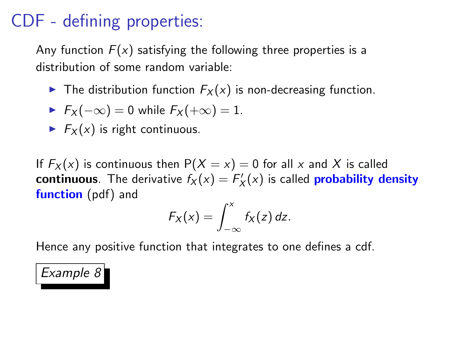## CDF - defining properties:

Any function  $F(x)$  satisfying the following three properties is a distribution of some random variable:

 $\blacktriangleright$  The distribution function  $F_X(x)$  is non-decreasing function.

$$
\blacktriangleright F_X(-\infty) = 0 \text{ while } F_X(+\infty) = 1.
$$

 $\blacktriangleright$   $F_X(x)$  is right continuous.

If  $F_X(x)$  is continuous then  $P(X = x) = 0$  for all x and X is called continuous. The derivative  $f_X(x) = F'_X(x)$  is called probability density function (pdf) and

$$
F_X(x)=\int_{-\infty}^x f_X(z)\,dz.
$$

Hence any positive function that integrates to one defines a cdf.

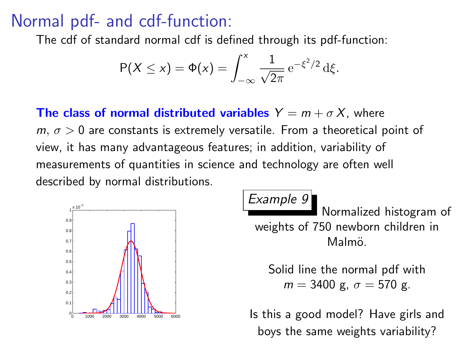## Normal pdf- and cdf-function:

The cdf of standard normal cdf is defined through its pdf-function:

$$
P(X \le x) = \Phi(x) = \int_{-\infty}^{x} \frac{1}{\sqrt{2\pi}} e^{-\xi^2/2} d\xi.
$$

**The class of normal distributed variables**  $Y = m + \sigma X$ , where  $m, \sigma > 0$  are constants is extremely versatile. From a theoretical point of view, it has many advantageous features; in addition, variability of measurements of quantities in science and technology are often well described by normal distributions.



Example 9

Normalized histogram of weights of 750 newborn children in Malmö.

Solid line the normal pdf with  $m = 3400$  g,  $\sigma = 570$  g.

Is this a good model? Have girls and boys the same weights variability?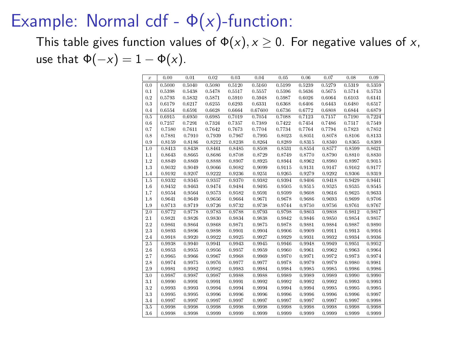## Example: Normal cdf -  $\Phi(x)$ -function:

This table gives function values of  $\Phi(x)$ ,  $x \ge 0$ . For negative values of x, use that  $\Phi(-x) = 1 - \Phi(x)$ .

| $\bar{x}$ | 0.00   | 0.01   | 0.02   | 0.03   | 0.04    | 0.05   | 0.06   | 0.07   | 0.08   | 0.09   |
|-----------|--------|--------|--------|--------|---------|--------|--------|--------|--------|--------|
| 0.0       | 0.5000 | 0.5040 | 0.5080 | 0.5120 | 0.5160  | 0.5199 | 0.5239 | 0.5279 | 0.5319 | 0.5359 |
| 0.1       | 0.5398 | 0.5438 | 0.5478 | 0.5517 | 0.5557  | 0.5596 | 0.5636 | 0.5675 | 0.5714 | 0.5753 |
| 0.2       | 0.5793 | 0.5832 | 0.5871 | 0.5910 | 0.5948  | 0.5987 | 0.6026 | 0.6064 | 0.6103 | 0.6141 |
| 0.3       | 0.6179 | 0.6217 | 0.6255 | 0.6293 | 0.6331  | 0.6368 | 0.6406 | 0.6443 | 0.6480 | 0.6517 |
| 0.4       | 0.6554 | 0.6591 | 0.6628 | 0.6664 | 0.67600 | 0.6736 | 0.6772 | 0.6808 | 0.6844 | 0.6879 |
| 0.5       | 0.6915 | 0.6950 | 0.6985 | 0.7019 | 0.7054  | 0.7088 | 0.7123 | 0.7157 | 0.7190 | 0.7224 |
| 0.6       | 0.7257 | 0.7291 | 0.7324 | 0.7357 | 0.7389  | 0.7422 | 0.7454 | 0.7486 | 0.7517 | 0.7519 |
| 0.7       | 0.7580 | 0.7611 | 0.7642 | 0.7673 | 0.7704  | 0.7734 | 0.7764 | 0.7794 | 0.7823 | 0.7852 |
| 0.8       | 0.7881 | 0.7910 | 0.7939 | 0.7967 | 0.7995  | 0.8023 | 0.8051 | 0.8078 | 0.8106 | 0.8133 |
| 0.9       | 0.8159 | 0.8186 | 0.8212 | 0.8238 | 0.8264  | 0.8289 | 0.8315 | 0.8340 | 0.8365 | 0.8389 |
| 1.0       | 0.8413 | 0.8438 | 0.8461 | 0.8485 | 0.8508  | 0.8531 | 0.8554 | 0.8577 | 0.8599 | 0.8621 |
| 1.1       | 0.8643 | 0.8665 | 0.8686 | 0.8708 | 0.8729  | 0.8749 | 0.8770 | 0.8790 | 0.8810 | 0.8830 |
| 1.2       | 0.8849 | 0.8869 | 0.8888 | 0.8907 | 0.8925  | 0.8944 | 0.8962 | 0.8980 | 0.8997 | 0.9015 |
| 1.3       | 0.9032 | 0.9049 | 0.9066 | 0.9082 | 0.9099  | 0.9115 | 0.9131 | 0.9147 | 0.9162 | 0.9177 |
| 1.4       | 0.9192 | 0.9297 | 0.9222 | 0.9236 | 0.9251  | 0.9265 | 0.9279 | 0.9292 | 0.9306 | 0.9319 |
| 1.5       | 0.9332 | 0.9345 | 0.9357 | 0.9370 | 0.9382  | 0.9394 | 0.9406 | 0.9418 | 0.9429 | 0.9441 |
| 1.6       | 0.9452 | 0.9463 | 0.9474 | 0.9484 | 0.9495  | 0.9505 | 0.9515 | 0.9525 | 0.9535 | 0.9545 |
| 1.7       | 0.9554 | 0.9564 | 0.9573 | 0.9582 | 0.9591  | 0.9599 | 0.9608 | 0.9616 | 0.9625 | 0.9633 |
| 1.8       | 0.9641 | 0.9649 | 0.9656 | 0.9664 | 0.9671  | 0.9678 | 0.9686 | 0.9693 | 0.9699 | 0.9706 |
| 1.9       | 0.9713 | 0.9719 | 0.9726 | 0.9732 | 0.9738  | 0.9744 | 0.9750 | 0.9756 | 0.9761 | 0.9767 |
| 2.0       | 0.9772 | 0.9778 | 0.9783 | 0.9788 | 0.9793  | 0.9798 | 0.9803 | 0.9808 | 0.9812 | 0.9817 |
| $2.1\,$   | 0.9821 | 0.9826 | 0.9830 | 0.9834 | 0.9838  | 0.9842 | 0.9846 | 0.9850 | 0.9854 | 0.9857 |
| 2.2       | 0.9861 | 0.9864 | 0.9868 | 0.9871 | 0.9875  | 0.9878 | 0.9881 | 0.9884 | 0.9887 | 0.9890 |
| 2.3       | 0.9893 | 0.9896 | 0.9898 | 0.9901 | 0.9904  | 0.9906 | 0.9909 | 0.9911 | 0.9913 | 0.9916 |
| 2.4       | 0.9918 | 0.9920 | 0.9922 | 0.9925 | 0.9927  | 0.9929 | 0.9931 | 0.9932 | 0.9934 | 0.9936 |
| 2.5       | 0.9938 | 0.9940 | 0.9941 | 0.9943 | 0.9945  | 0.9946 | 0.9948 | 0.9949 | 0.9951 | 0.9952 |
| 2.6       | 0.9953 | 0.9955 | 0.9956 | 0.9957 | 0.9959  | 0.9960 | 0.9961 | 0.9962 | 0.9963 | 0.9964 |
| 2.7       | 0.9965 | 0.9966 | 0.9967 | 0.9968 | 0.9969  | 0.9970 | 0.9971 | 0.9972 | 0.9973 | 0.9974 |
| 2.8       | 0.9974 | 0.9975 | 0.9976 | 0.9977 | 0.9977  | 0.9978 | 0.9979 | 0.9979 | 0.9980 | 0.9981 |
| 2.9       | 0.9981 | 0.9982 | 0.9982 | 0.9983 | 0.9984  | 0.9984 | 0.9985 | 0.9985 | 0.9986 | 0.9986 |
| 3.0       | 0.9987 | 0.9987 | 0.9987 | 0.9988 | 0.9988  | 0.9989 | 0.9989 | 0.9989 | 0.9990 | 0.9990 |
| 3.1       | 0.9990 | 0.9991 | 0.9991 | 0.9991 | 0.9992  | 0.9992 | 0.9992 | 0.9992 | 0.9993 | 0.9993 |
| 3.2       | 0.9993 | 0.9993 | 0.9994 | 0.9994 | 0.9994  | 0.9994 | 0.9994 | 0.9995 | 0.9995 | 0.9995 |
| 3.3       | 0.9995 | 0.9995 | 0.9996 | 0.9996 | 0.9996  | 0.9996 | 0.9996 | 0.9996 | 0.9996 | 0.9997 |
| 3.4       | 0.9997 | 0.9997 | 0.9997 | 0.9997 | 0.9997  | 0.9997 | 0.9997 | 0.9997 | 0.9997 | 0.9998 |
| 3.5       | 0.9998 | 0.9998 | 0.9998 | 0.9998 | 0.9998  | 0.9998 | 0.9998 | 0.9998 | 0.9998 | 0.9998 |
| 3.6       | 0.9998 | 0.9998 | 0.9999 | 0.9999 | 0.9999  | 0.9999 | 0.9999 | 0.9999 | 0.9999 | 0.9999 |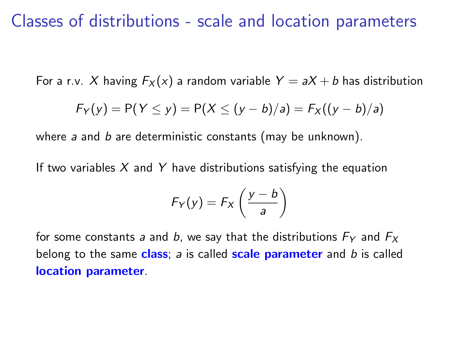#### Classes of distributions - scale and location parameters

For a r.v. X having  $F_X(x)$  a random variable  $Y = aX + b$  has distribution

$$
F_Y(y) = P(Y \le y) = P(X \le (y - b)/a) = F_X((y - b)/a)
$$

where a and  $b$  are deterministic constants (may be unknown).

If two variables  $X$  and Y have distributions satisfying the equation

$$
F_Y(y) = F_X\left(\frac{y-b}{a}\right)
$$

for some constants a and b, we say that the distributions  $F_Y$  and  $F_X$ belong to the same class;  $a$  is called scale parameter and  $b$  is called location parameter.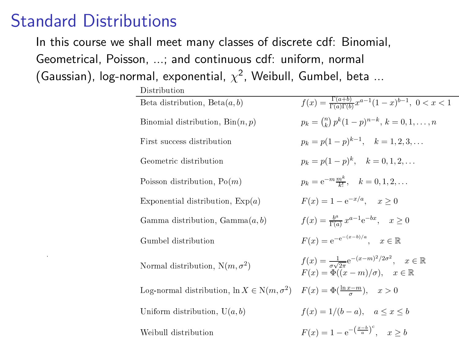### Standard Distributions

1

In this course we shall meet many classes of discrete cdf: Binomial,

Geometrical, Poisson, ...; and continuous cdf: uniform, normal

This additional sur-

(Gaussian), log-normal, exponential,  $\chi^2$ , Weibull, Gumbel, beta ...

| Distribution                                                  |                                                                                                                                             |
|---------------------------------------------------------------|---------------------------------------------------------------------------------------------------------------------------------------------|
| Beta distribution, $Beta(a, b)$                               | $f(x) = \frac{\Gamma(a+b)}{\Gamma(a)\Gamma(b)} x^{a-1} (1-x)^{b-1}, \ 0 < x < 1$                                                            |
| Binomial distribution, $Bin(n, p)$                            | $p_k = \binom{n}{k} p^k (1-p)^{n-k}$ , $k = 0, 1, , n$                                                                                      |
| First success distribution                                    | $p_k = p(1-p)^{k-1}, \quad k = 1, 2, 3, \dots$                                                                                              |
| Geometric distribution                                        | $p_k = p(1-p)^k$ , $k = 0, 1, 2, $                                                                                                          |
| Poisson distribution, $Po(m)$                                 | $p_k = e^{-m} \frac{m^k}{k!}, \quad k = 0, 1, 2, \dots$                                                                                     |
| Exponential distribution, $Exp(a)$                            | $F(x) = 1 - e^{-x/a}$ , $x > 0$                                                                                                             |
| Gamma distribution, $Gamma(a, b)$                             | $f(x) = \frac{b^a}{\Gamma(a)} x^{a-1} e^{-bx}, \quad x \ge 0$                                                                               |
| Gumbel distribution                                           | $F(x) = e^{-e^{-(x-b)/a}}, \quad x \in \mathbb{R}$                                                                                          |
| Normal distribution, $N(m, \sigma^2)$                         | $f(x) = \frac{1}{\sigma \sqrt{2\pi}} e^{-(x-m)^2/2\sigma^2}, \quad x \in \mathbb{R}$<br>$F(x) = \Phi((x-m)/\sigma), \quad x \in \mathbb{R}$ |
| Log-normal distribution, $\ln X \in \mathcal{N}(m, \sigma^2)$ | $F(x) = \Phi(\frac{\ln x - m}{x}), \quad x > 0$                                                                                             |
| Uniform distribution, $U(a, b)$                               | $f(x) = 1/(b - a), \quad a \leq x \leq b$                                                                                                   |
| Weibull distribution                                          | $F(x) = 1 - e^{-\left(\frac{x-b}{a}\right)^c}$ $x > b$                                                                                      |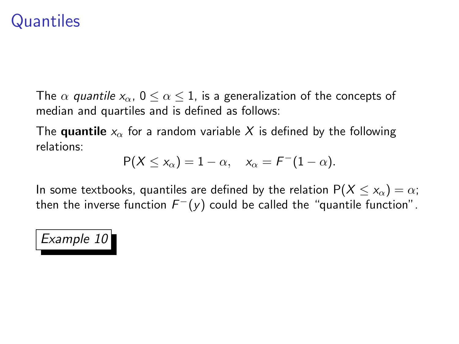## **Quantiles**

The  $\alpha$  quantile  $x_{\alpha}$ ,  $0 \le \alpha \le 1$ , is a generalization of the concepts of median and quartiles and is defined as follows:

The quantile  $x_{\alpha}$  for a random variable X is defined by the following relations:

$$
P(X \le x_\alpha) = 1 - \alpha, \quad x_\alpha = F^-(1 - \alpha).
$$

In some textbooks, quantiles are defined by the relation  $P(X \le x_\alpha) = \alpha$ ; then the inverse function  $F^-(y)$  could be called the "quantile function".

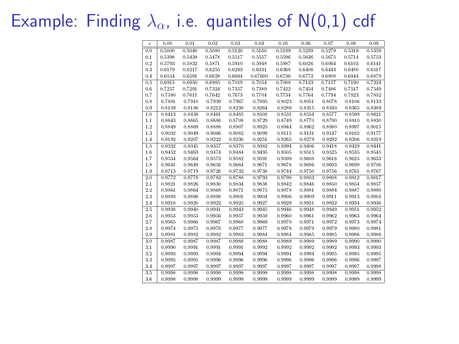# Example: Finding  $\lambda_{\alpha}$ , i.e. quantiles of N(0,1) cdf

| $\boldsymbol{x}$ | 0.00   | 0.01   | 0.02   | 0.03   | 0.04    | 0.05   | 0.06   | 0.07   | 0.08   | 0.09   |
|------------------|--------|--------|--------|--------|---------|--------|--------|--------|--------|--------|
| 0.0              | 0.5000 | 0.5040 | 0.5080 | 0.5120 | 0.5160  | 0.5199 | 0.5239 | 0.5279 | 0.5319 | 0.5359 |
| 0.1              | 0.5398 | 0.5438 | 0.5478 | 0.5517 | 0.5557  | 0.5596 | 0.5636 | 0.5675 | 0.5714 | 0.5753 |
| 0.2              | 0.5793 | 0.5832 | 0.5871 | 0.5910 | 0.5948  | 0.5987 | 0.6026 | 0.6064 | 0.6103 | 0.6141 |
| 0.3              | 0.6179 | 0.6217 | 0.6255 | 0.6293 | 0.6331  | 0.6368 | 0.6406 | 0.6443 | 0.6480 | 0.6517 |
| 0.4              | 0.6554 | 0.6591 | 0.6628 | 0.6664 | 0.67600 | 0.6736 | 0.6772 | 0.6808 | 0.6844 | 0.6879 |
| 0.5              | 0.6915 | 0.6950 | 0.6985 | 0.7019 | 0.7054  | 0.7088 | 0.7123 | 0.7157 | 0.7190 | 0.7224 |
| 0.6              | 0.7257 | 0.7291 | 0.7324 | 0.7357 | 0.7389  | 0.7422 | 0.7454 | 0.7486 | 0.7517 | 0.7549 |
| 0.7              | 0.7580 | 0.7611 | 0.7642 | 0.7673 | 0.7704  | 0.7734 | 0.7764 | 0.7794 | 0.7823 | 0.7852 |
| 0.8              | 0.7881 | 0.7910 | 0.7939 | 0.7967 | 0.7995  | 0.8023 | 0.8051 | 0.8078 | 0.8106 | 0.8133 |
| 0.9              | 0.8159 | 0.8186 | 0.8212 | 0.8238 | 0.8264  | 0.8289 | 0.8315 | 0.8340 | 0.8365 | 0.8389 |
| 1.0              | 0.8413 | 0.8438 | 0.8461 | 0.8485 | 0.8508  | 0.8531 | 0.8551 | 0.8577 | 0.8599 | 0.8621 |
| 1.1              | 0.8643 | 0.8665 | 0.8686 | 0.8708 | 0.8729  | 0.8749 | 0.8770 | 0.8790 | 0.8810 | 0.8830 |
| 1.2              | 0.8849 | 0.8869 | 0.8888 | 0.8907 | 0.8925  | 0.8944 | 0.8962 | 0.8980 | 0.8997 | 0.9015 |
| 1.3              | 0.9032 | 0.9049 | 0.9066 | 0.9082 | 0.9099  | 0.9115 | 0.9131 | 0.9147 | 0.9162 | 0.9177 |
| 1.4              | 0.9192 | 0.9297 | 0.9222 | 0.9236 | 0.9251  | 0.9265 | 0.9279 | 0.9292 | 0.9306 | 0.9319 |
| 1.5              | 0.9332 | 0.9345 | 0.9357 | 0.9370 | 0.9382  | 0.9394 | 0.9406 | 0.9418 | 0.9429 | 0.9441 |
| 1.6              | 0.9452 | 0.9463 | 0.9474 | 0.9484 | 0.9495  | 0.9505 | 0.9515 | 0.9525 | 0.9535 | 0.9545 |
| 1.7              | 0.9554 | 0.9564 | 0.9573 | 0.9582 | 0.9591  | 0.9599 | 0.9608 | 0.9616 | 0.9625 | 0.9633 |
| 1.8              | 0.9641 | 0.9649 | 0.9656 | 0.9664 | 0.9671  | 0.9678 | 0.9686 | 0.9693 | 0.9699 | 0.9706 |
| 1.9              | 0.9713 | 0.9719 | 0.9726 | 0.9732 | 0.9738  | 0.9744 | 0.9750 | 0.9756 | 0.9761 | 0.9767 |
| 2.0              | 0.9772 | 0.9778 | 0.9783 | 0.9788 | 0.9793  | 0.9798 | 0.9803 | 0.9808 | 0.9812 | 0.9817 |
| 2.1              | 0.9821 | 0.9826 | 0.9830 | 0.9834 | 0.9838  | 0.9842 | 0.9846 | 0.9850 | 0.9854 | 0.9857 |
| 2.2              | 0.9861 | 0.9864 | 0.9868 | 0.9871 | 0.9875  | 0.9878 | 0.9881 | 0.9884 | 0.9887 | 0.9890 |
| 2.3              | 0.9893 | 0.9896 | 0.9898 | 0.9901 | 0.9904  | 0.9906 | 0.9909 | 0.9911 | 0.9913 | 0.9916 |
| 2.4              | 0.9918 | 0.9920 | 0.9922 | 0.9925 | 0.9927  | 0.9929 | 0.9931 | 0.9932 | 0.9934 | 0.9936 |
| 2.5              | 0.9938 | 0.9940 | 0.9941 | 0.9943 | 0.9945  | 0.9946 | 0.9948 | 0.9949 | 0.9951 | 0.9952 |
| 2.6              | 0.9953 | 0.9955 | 0.9956 | 0.9957 | 0.9959  | 0.9960 | 0.9961 | 0.9962 | 0.9963 | 0.9964 |
| 2.7              | 0.9965 | 0.9966 | 0.9967 | 0.9968 | 0.9969  | 0.9970 | 0.9971 | 0.9972 | 0.9973 | 0.9974 |
| 2.8              | 0.9974 | 0.9975 | 0.9976 | 0.9977 | 0.9977  | 0.9978 | 0.9979 | 0.9979 | 0.9980 | 0.9981 |
| 2.9              | 0.9981 | 0.9982 | 0.9982 | 0.9983 | 0.9984  | 0.9984 | 0.9985 | 0.9985 | 0.9986 | 0.9986 |
| 3.0              | 0.9987 | 0.9987 | 0.9987 | 0.9988 | 0.9988  | 0.9989 | 0.9989 | 0.9989 | 0.9990 | 0.9990 |
| 3.1              | 0.9990 | 0.9991 | 0.9991 | 0.9991 | 0.9992  | 0.9992 | 0.9992 | 0.9992 | 0.9993 | 0.9993 |
| 3.2              | 0.9993 | 0.9993 | 0.9994 | 0.9994 | 0.9994  | 0.9994 | 0.9994 | 0.9995 | 0.9995 | 0.9995 |
| 3.3              | 0.9995 | 0.9995 | 0.9996 | 0.9996 | 0.9996  | 0.9996 | 0.9996 | 0.9996 | 0.9996 | 0.9997 |
| 3.4              | 0.9997 | 0.9997 | 0.9997 | 0.9997 | 0.9997  | 0.9997 | 0.9997 | 0.9997 | 0.9997 | 0.9998 |
| 3.5              | 0.9998 | 0.9998 | 0.9998 | 0.9998 | 0.9998  | 0.9998 | 0.9998 | 0.9998 | 0.9998 | 0.9998 |
| 3.6              | 0.9998 | 0.9998 | 0.9999 | 0.9999 | 0.9999  | 0.9999 | 0.9999 | 0.9999 | 0.9999 | 0.9999 |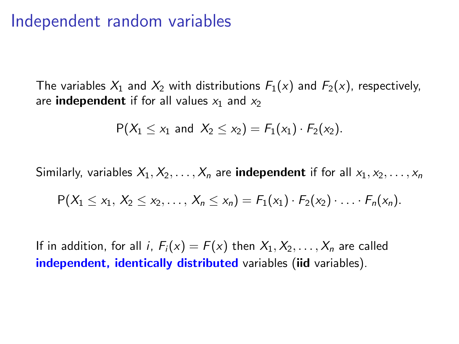#### Independent random variables

The variables  $X_1$  and  $X_2$  with distributions  $F_1(x)$  and  $F_2(x)$ , respectively, are **independent** if for all values  $x_1$  and  $x_2$ 

$$
P(X_1 \le x_1 \text{ and } X_2 \le x_2) = F_1(x_1) \cdot F_2(x_2).
$$

Similarly, variables  $X_1, X_2, \ldots, X_n$  are **independent** if for all  $x_1, x_2, \ldots, x_n$ 

$$
P(X_1 \le x_1, X_2 \le x_2, ..., X_n \le x_n) = F_1(x_1) \cdot F_2(x_2) \cdot ... \cdot F_n(x_n).
$$

If in addition, for all i,  $F_i(x) = F(x)$  then  $X_1, X_2, \ldots, X_n$  are called independent, identically distributed variables (iid variables).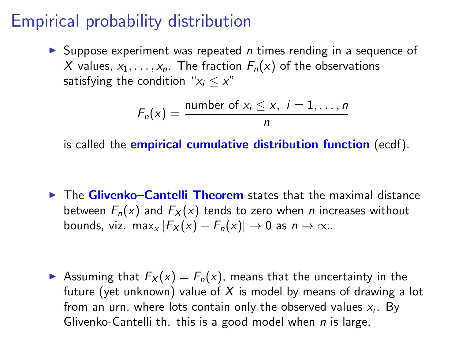## Empirical probability distribution

 $\triangleright$  Suppose experiment was repeated *n* times rending in a sequence of X values,  $x_1, \ldots, x_n$ . The fraction  $F_n(x)$  of the observations satisfying the condition " $x_i \leq x$ "

$$
F_n(x) = \frac{\text{number of } x_i \leq x, \ i = 1, \dots, n}{n}
$$

is called the **empirical cumulative distribution function** (ecdf).

 $\triangleright$  The Glivenko–Cantelli Theorem states that the maximal distance between  $F_n(x)$  and  $F_X(x)$  tends to zero when *n* increases without bounds, viz. max<sub>x</sub>  $|F_X(x) - F_n(x)| \to 0$  as  $n \to \infty$ .

**•** Assuming that  $F_X(x) = F_n(x)$ , means that the uncertainty in the future (yet unknown) value of  $X$  is model by means of drawing a lot from an urn, where lots contain only the observed values  $x_i$ . By Glivenko-Cantelli th. this is a good model when  $n$  is large.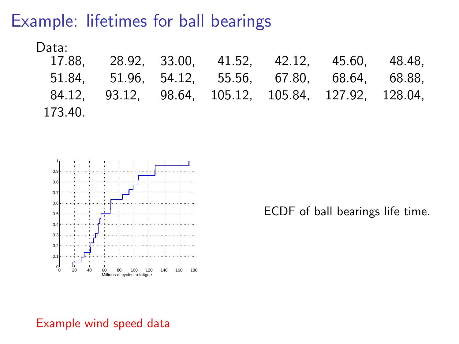#### Example: lifetimes for ball bearings

Data:

|         |  | 17.88, 28.92, 33.00, 41.52, 42.12, 45.60, 48.48,     |  |
|---------|--|------------------------------------------------------|--|
|         |  | 51.84, 51.96, 54.12, 55.56, 67.80, 68.64, 68.88,     |  |
|         |  | 84.12, 93.12, 98.64, 105.12, 105.84, 127.92, 128.04, |  |
| 173.40. |  |                                                      |  |



ECDF of ball bearings life time.

#### Example wind speed data